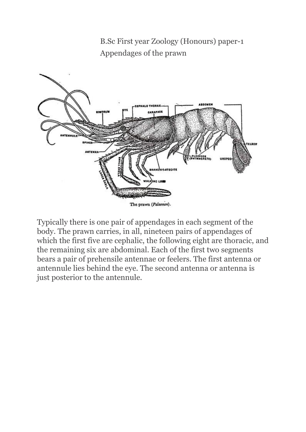B.Sc First year Zoology (Honours) paper-1 Appendages of the prawn



Typically there is one pair of appendages in each segment of the body. The prawn carries, in all, nineteen pairs of appendages of which the first five are cephalic, the following eight are thoracic, and the remaining six are abdominal. Each of the first two segments bears a pair of prehensile antennae or feelers. The first antenna or antennule lies behind the eye. The second antenna or antenna is just posterior to the antennule.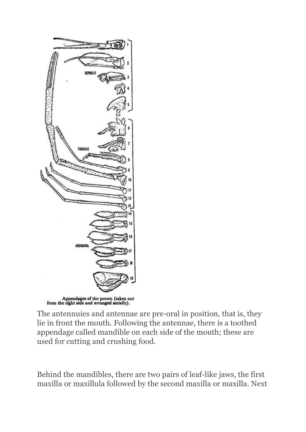

The antennuies and antennae are pre-oral in position, that is, they lie in front the mouth. Following the antennae, there is a toothed appendage called mandible on each side of the mouth; these are used for cutting and crushing food.

Behind the mandibles, there are two pairs of leaf-like jaws, the first maxilla or maxillula followed by the second maxilla or maxilla. Next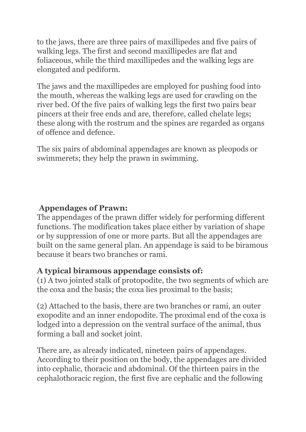to the jaws, there are three pairs of maxillipedes and five pairs of walking legs. The first and second maxillipedes are flat and foliaceous, while the third maxillipedes and the walking legs are elongated and pediform.

The jaws and the maxillipedes are employed for pushing food into the mouth, whereas the walking legs are used for crawling on the river bed. Of the five pairs of walking legs the first two pairs bear pincers at their free ends and are, therefore, called chelate legs; these along with the rostrum and the spines are regarded as organs of offence and defence.

The six pairs of abdominal appendages are known as pleopods or swimmerets; they help the prawn in swimming.

## **Appendages of Prawn:**

The appendages of the prawn differ widely for performing different functions. The modification takes place either by variation of shape or by suppression of one or more parts. But all the appendages are built on the same general plan. An appendage is said to be biramous because it bears two branches or rami.

## **A typical biramous appendage consists of:**

(1) A two jointed stalk of protopodite, the two segments of which are the coxa and the basis; the coxa lies proximal to the basis;

(2) Attached to the basis, there are two branches or rami, an outer exopodite and an inner endopodite. The proximal end of the coxa is lodged into a depression on the ventral surface of the animal, thus forming a ball and socket joint.

There are, as already indicated, nineteen pairs of appendages. According to their position on the body, the appendages are divided into cephalic, thoracic and abdominal. Of the thirteen pairs in the cephalothoracic region, the first five are cephalic and the following